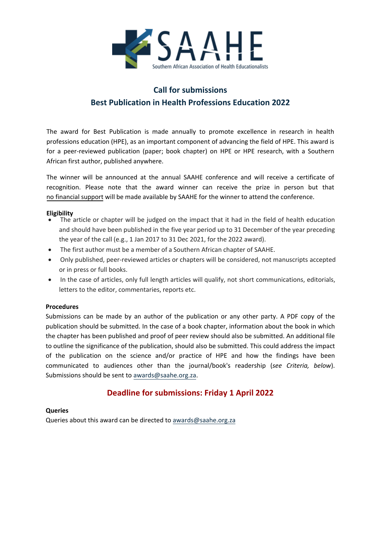

## **Call for submissions Best Publication in Health Professions Education 2022**

The award for Best Publication is made annually to promote excellence in research in health professions education (HPE), as an important component of advancing the field of HPE. This award is for a peer-reviewed publication (paper; book chapter) on HPE or HPE research, with a Southern African first author, published anywhere.

The winner will be announced at the annual SAAHE conference and will receive a certificate of recognition. Please note that the award winner can receive the prize in person but that no financial support will be made available by SAAHE for the winner to attend the conference.

## **Eligibility**

- The article or chapter will be judged on the impact that it had in the field of health education and should have been published in the five year period up to 31 December of the year preceding the year of the call (e.g., 1 Jan 2017 to 31 Dec 2021, for the 2022 award).
- The first author must be a member of a Southern African chapter of SAAHE.
- Only published, peer-reviewed articles or chapters will be considered, not manuscripts accepted or in press or full books.
- In the case of articles, only full length articles will qualify, not short communications, editorials, letters to the editor, commentaries, reports etc.

### **Procedures**

Submissions can be made by an author of the publication or any other party. A PDF copy of the publication should be submitted. In the case of a book chapter, information about the book in which the chapter has been published and proof of peer review should also be submitted. An additional file to outline the significance of the publication, should also be submitted. This could address the impact of the publication on the science and/or practice of HPE and how the findings have been communicated to audiences other than the journal/book's readership (*see Criteria, below*). Submissions should be sent t[o awards@saahe.org.za.](mailto:awards@saahe.org.za?subject=SAAHE%20Best%20Publication%20Award)

## **Deadline for submissions: Friday 1 April 2022**

### **Queries**

Queries about this award can be directed to [awards@saahe.org.za](mailto:awards@saahe.org.za?subject=SAAHE%20Best%20Publication%20Award)